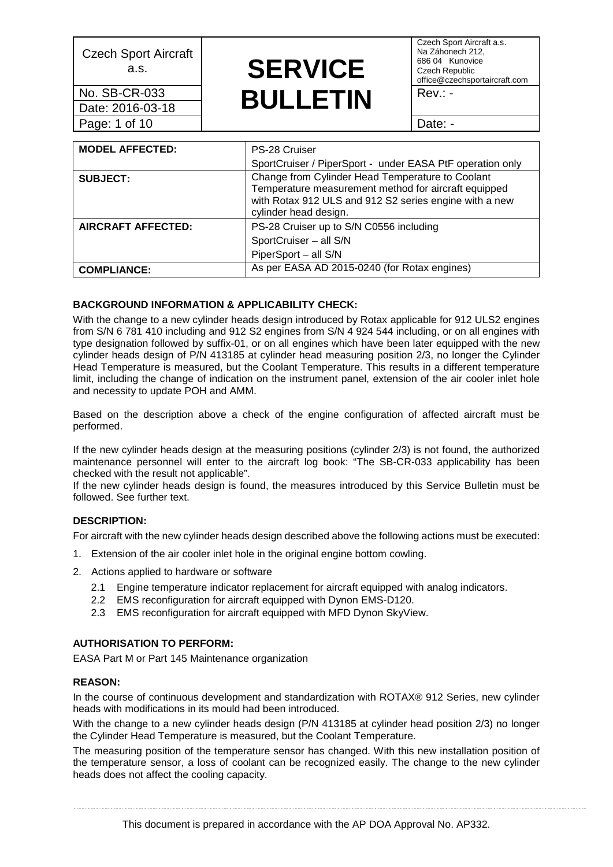Date: 2016-03-18 Page: 1 of 10 Page: 1 of 10

### a.s. **SERVICE No. SB-CR-033 BULLETIN** Rev.: -

Czech Sport Aircraft a.s. Na Záhonech 212, 686 04 Kunovice Czech Republic office@czechsportaircraft.com

| <b>MODEL AFFECTED:</b>    | PS-28 Cruiser                                                                                                                                                                               |
|---------------------------|---------------------------------------------------------------------------------------------------------------------------------------------------------------------------------------------|
|                           | SportCruiser / PiperSport - under EASA PtF operation only                                                                                                                                   |
| <b>SUBJECT:</b>           | Change from Cylinder Head Temperature to Coolant<br>Temperature measurement method for aircraft equipped<br>with Rotax 912 ULS and 912 S2 series engine with a new<br>cylinder head design. |
| <b>AIRCRAFT AFFECTED:</b> | PS-28 Cruiser up to S/N C0556 including                                                                                                                                                     |
|                           | SportCruiser - all S/N                                                                                                                                                                      |
|                           | PiperSport - all S/N                                                                                                                                                                        |
| <b>COMPLIANCE:</b>        | As per EASA AD 2015-0240 (for Rotax engines)                                                                                                                                                |

### **BACKGROUND INFORMATION & APPLICABILITY CHECK:**

With the change to a new cylinder heads design introduced by Rotax applicable for 912 ULS2 engines from S/N 6 781 410 including and 912 S2 engines from S/N 4 924 544 including, or on all engines with type designation followed by suffix-01, or on all engines which have been later equipped with the new cylinder heads design of P/N 413185 at cylinder head measuring position 2/3, no longer the Cylinder Head Temperature is measured, but the Coolant Temperature. This results in a different temperature limit, including the change of indication on the instrument panel, extension of the air cooler inlet hole and necessity to update POH and AMM.

Based on the description above a check of the engine configuration of affected aircraft must be performed.

If the new cylinder heads design at the measuring positions (cylinder 2/3) is not found, the authorized maintenance personnel will enter to the aircraft log book: "The SB-CR-033 applicability has been checked with the result not applicable".

If the new cylinder heads design is found, the measures introduced by this Service Bulletin must be followed. See further text.

### **DESCRIPTION:**

For aircraft with the new cylinder heads design described above the following actions must be executed:

- 1. Extension of the air cooler inlet hole in the original engine bottom cowling.
- 2. Actions applied to hardware or software
	- 2.1 Engine temperature indicator replacement for aircraft equipped with analog indicators.
	- 2.2 EMS reconfiguration for aircraft equipped with Dynon EMS-D120.
	- 2.3 EMS reconfiguration for aircraft equipped with MFD Dynon SkyView.

### **AUTHORISATION TO PERFORM:**

EASA Part M or Part 145 Maintenance organization

### **REASON:**

In the course of continuous development and standardization with ROTAX® 912 Series, new cylinder heads with modifications in its mould had been introduced.

With the change to a new cylinder heads design (P/N 413185 at cylinder head position 2/3) no longer the Cylinder Head Temperature is measured, but the Coolant Temperature.

The measuring position of the temperature sensor has changed. With this new installation position of the temperature sensor, a loss of coolant can be recognized easily. The change to the new cylinder heads does not affect the cooling capacity.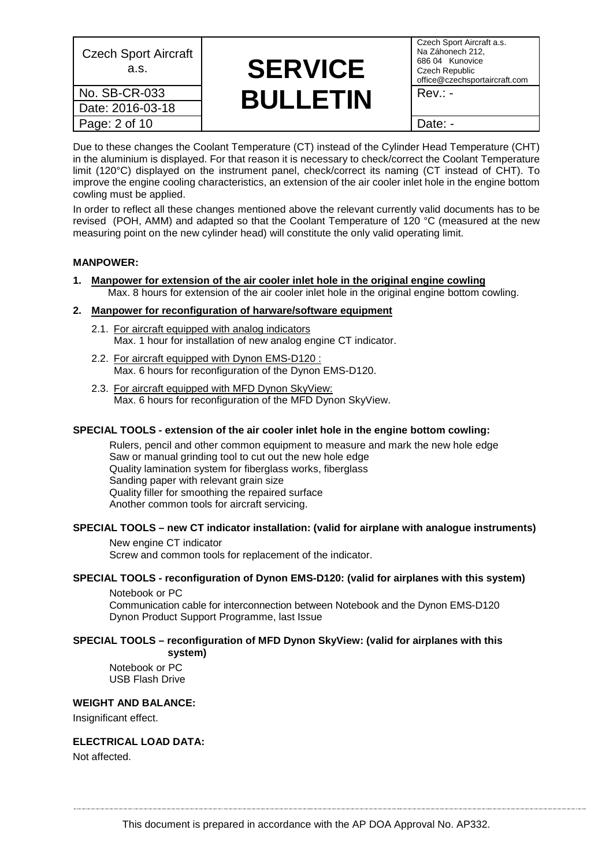| Na Záhonech 212,<br>686 04 Kunovice<br>Czech Republic<br>office@czechsportaircraft.com |
|----------------------------------------------------------------------------------------|
| $Rev: -$                                                                               |
|                                                                                        |
| Date: -                                                                                |
|                                                                                        |

Due to these changes the Coolant Temperature (CT) instead of the Cylinder Head Temperature (CHT) in the aluminium is displayed. For that reason it is necessary to check/correct the Coolant Temperature limit (120°C) displayed on the instrument panel, check/correct its naming (CT instead of CHT). To improve the engine cooling characteristics, an extension of the air cooler inlet hole in the engine bottom cowling must be applied.

In order to reflect all these changes mentioned above the relevant currently valid documents has to be revised (POH, AMM) and adapted so that the Coolant Temperature of 120 °C (measured at the new measuring point on the new cylinder head) will constitute the only valid operating limit.

### **MANPOWER:**

**1. Manpower for extension of the air cooler inlet hole in the original engine cowling** Max. 8 hours for extension of the air cooler inlet hole in the original engine bottom cowling.

### **2. Manpower for reconfiguration of harware/software equipment**

- 2.1. For aircraft equipped with analog indicators Max. 1 hour for installation of new analog engine CT indicator.
- 2.2. For aircraft equipped with Dynon EMS-D120 : Max. 6 hours for reconfiguration of the Dynon EMS-D120.
- 2.3. For aircraft equipped with MFD Dynon SkyView: Max. 6 hours for reconfiguration of the MFD Dynon SkyView.

### **SPECIAL TOOLS - extension of the air cooler inlet hole in the engine bottom cowling:**

Rulers, pencil and other common equipment to measure and mark the new hole edge Saw or manual grinding tool to cut out the new hole edge Quality lamination system for fiberglass works, fiberglass Sanding paper with relevant grain size Quality filler for smoothing the repaired surface Another common tools for aircraft servicing.

### **SPECIAL TOOLS – new CT indicator installation: (valid for airplane with analogue instruments)**

New engine CT indicator Screw and common tools for replacement of the indicator.

### **SPECIAL TOOLS - reconfiguration of Dynon EMS-D120: (valid for airplanes with this system)**

Notebook or PC Communication cable for interconnection between Notebook and the Dynon EMS-D120 Dynon Product Support Programme, last Issue

#### **SPECIAL TOOLS – reconfiguration of MFD Dynon SkyView: (valid for airplanes with this system)**

Notebook or PC USB Flash Drive

### **WEIGHT AND BALANCE:**

Insignificant effect.

### **ELECTRICAL LOAD DATA:**

Not affected.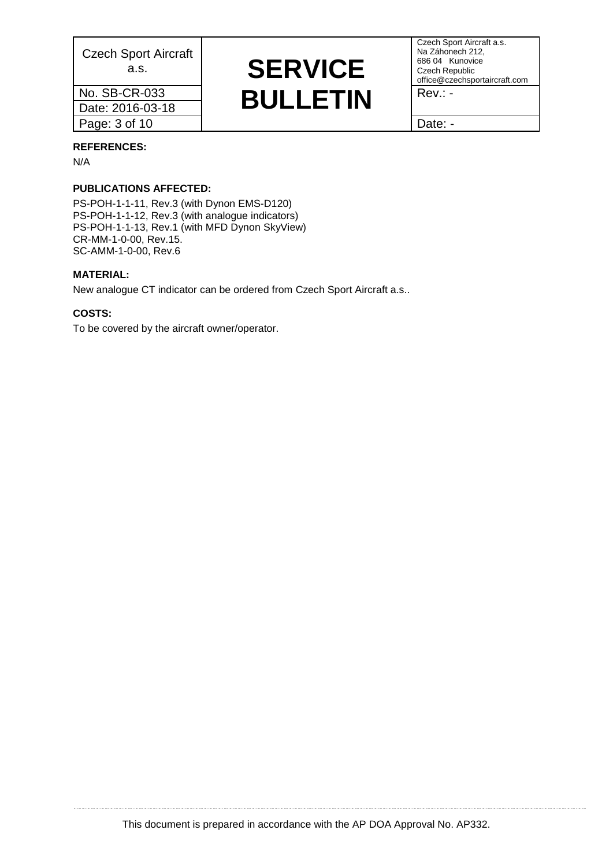Date: 2016-03-18 Page: 3 of 10 and 1 and 2 and 2 and 2 and 2 and 2 and 2 and 2 and 2 and 2 and 2 and 2 and 2 and 2 and 2 and 2 and 2 and 2 and 2 and 2 and 2 and 2 and 2 and 2 and 2 and 2 and 2 and 2 and 2 and 2 and 2 and 2 and 2 and 2 and

### a.s. **SERVICE No. SB-CR-033 BULLETIN** Rev.: -

Czech Sport Aircraft a.s. Na Záhonech 212, 686 04 Kunovice Czech Republic office@czechsportaircraft.com

#### **REFERENCES:**

N/A

### **PUBLICATIONS AFFECTED:**

PS-POH-1-1-11, Rev.3 (with Dynon EMS-D120) PS-POH-1-1-12, Rev.3 (with analogue indicators) PS-POH-1-1-13, Rev.1 (with MFD Dynon SkyView) CR-MM-1-0-00, Rev.15. SC-AMM-1-0-00, Rev.6

#### **MATERIAL:**

New analogue CT indicator can be ordered from Czech Sport Aircraft a.s..

### **COSTS:**

To be covered by the aircraft owner/operator.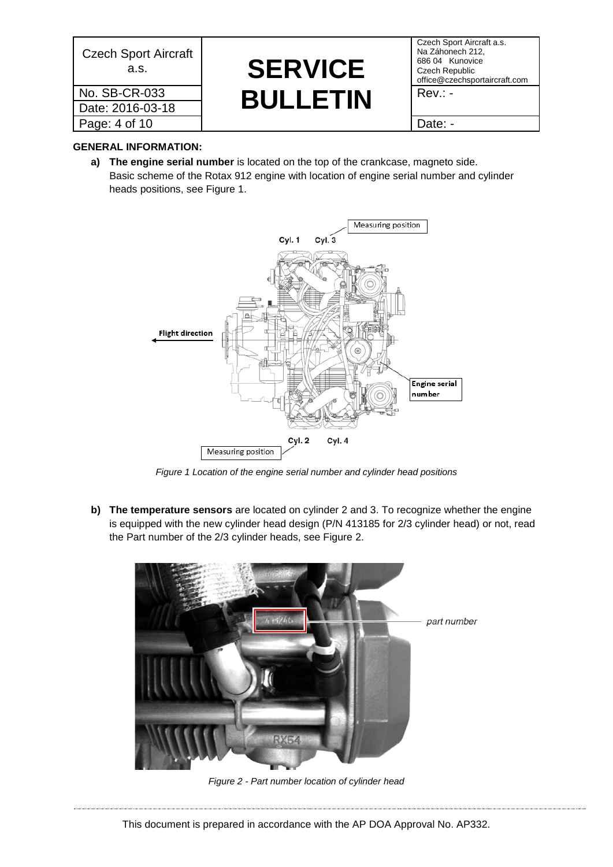| <b>Czech Sport Aircraft</b><br>a.s. | <b>SERVICE</b>  | Czech Sp<br>Na Záhon<br>686 04 K<br>Czech Re<br>office@cz |
|-------------------------------------|-----------------|-----------------------------------------------------------|
| No. SB-CR-033                       | <b>BULLETIN</b> | $Rev.: -$                                                 |
| Date: 2016-03-18                    |                 |                                                           |
| Page: 4 of 10                       |                 | Date: -                                                   |

# a.s. **SERVICE No. SB-CR-033 BULLETIN** Rev.: -

Czech Sport Aircraft a.s. Na Záhonech 212, 686 04 Kunovice Czech Republic office@czechsportaircraft.com

### **GENERAL INFORMATION:**

**a) The engine serial number** is located on the top of the crankcase, magneto side. Basic scheme of the Rotax 912 engine with location of engine serial number and cylinder heads positions, see [Figure 1.](#page-3-0)



*Figure 1 Location of the engine serial number and cylinder head positions*

<span id="page-3-0"></span>**b) The temperature sensors** are located on cylinder 2 and 3. To recognize whether the engine is equipped with the new cylinder head design (P/N 413185 for 2/3 cylinder head) or not, read the Part number of the 2/3 cylinder heads, see [Figure 2.](#page-3-1)

<span id="page-3-1"></span>

*Figure 2 - Part number location of cylinder head*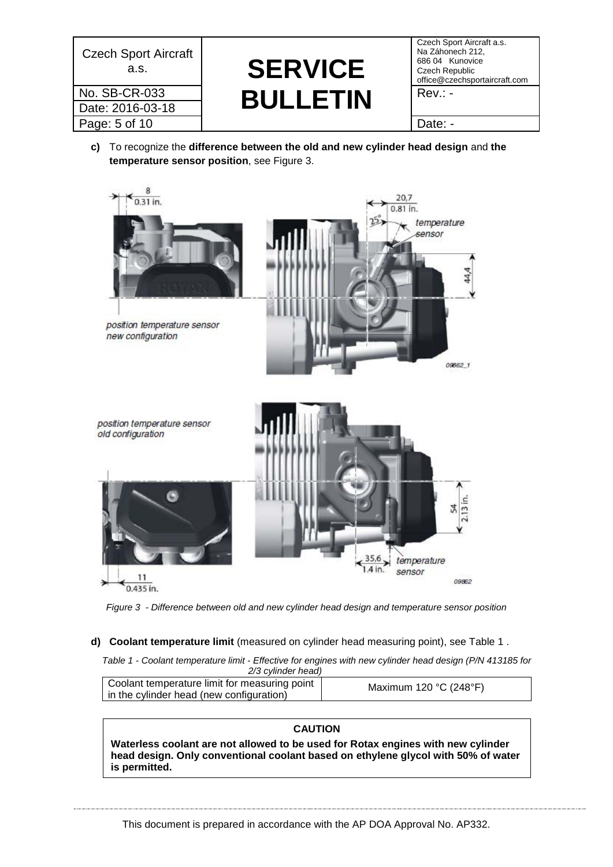| <b>Czech Sport Aircraft</b><br>a.s. | <b>SERVICE</b>  | Czech Sp<br>Na Záhon<br>686 04 K<br>Czech Re<br>office@cz |
|-------------------------------------|-----------------|-----------------------------------------------------------|
| No. SB-CR-033                       | <b>BULLETIN</b> | $Rev.: -$                                                 |
| Date: 2016-03-18                    |                 |                                                           |
| Page: 5 of 10                       |                 | Date: -                                                   |

# a.s. **SERVICE No. SB-CR-033 BULLETIN** Rev.: -

Czech Sport Aircraft a.s. Na Záhonech 212, 686 04 Kunovice Czech Republic office@czechsportaircraft.com

**c)** To recognize the **difference between the old and new cylinder head design** and **the temperature sensor position**, see [Figure 3.](#page-4-0)



<span id="page-4-0"></span>*Figure 3 - Difference between old and new cylinder head design and temperature sensor position*

### <span id="page-4-1"></span>**d) Coolant temperature limit** (measured on cylinder head measuring point), see [Table 1](#page-4-1) .

*Table 1 - Coolant temperature limit - Effective for engines with new cylinder head design (P/N 413185 for 2/3 cylinder head)*

| Coolant temperature limit for measuring point<br>in the cylinder head (new configuration) | Maximum 120 $°C$ (248°F) |
|-------------------------------------------------------------------------------------------|--------------------------|
|                                                                                           |                          |

### **CAUTION**

**Waterless coolant are not allowed to be used for Rotax engines with new cylinder head design. Only conventional coolant based on ethylene glycol with 50% of water is permitted.**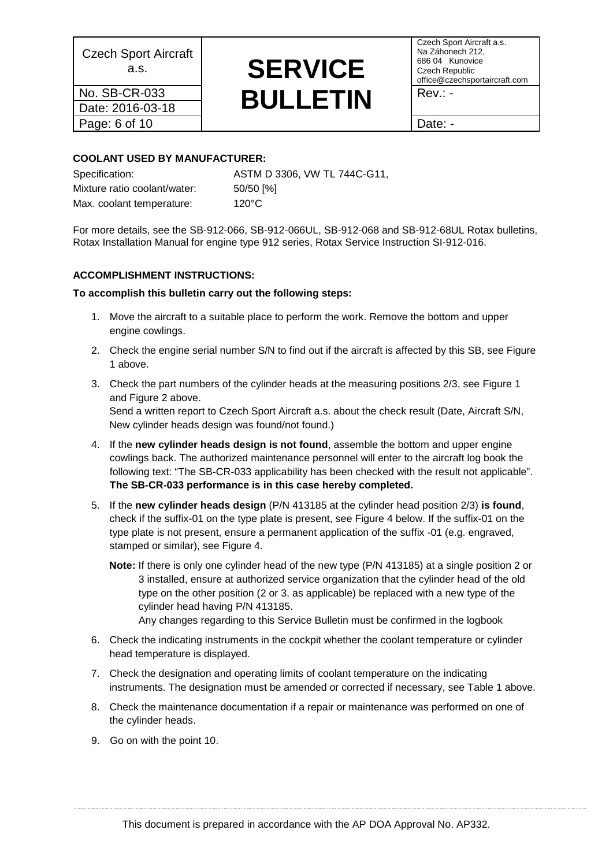Date: 2016-03-18 Page: 6 of 10 | Date: -

### a.s. **SERVICE No. SB-CR-033 BULLETIN** Rev.: -

Czech Sport Aircraft a.s. Na Záhonech 212, 686 04 Kunovice Czech Republic office@czechsportaircraft.com

### **COOLANT USED BY MANUFACTURER:**

Specification: ASTM D 3306, VW TL 744C-G11, Mixture ratio coolant/water: 50/50 [%] Max. coolant temperature: 120°C

For more details, see the SB-912-066, SB-912-066UL, SB-912-068 and SB-912-68UL Rotax bulletins, Rotax Installation Manual for engine type 912 series, Rotax Service Instruction SI-912-016.

### **ACCOMPLISHMENT INSTRUCTIONS:**

### **To accomplish this bulletin carry out the following steps:**

- 1. Move the aircraft to a suitable place to perform the work. Remove the bottom and upper engine cowlings.
- 2. Check the engine serial number S/N to find out if the aircraft is affected by this SB, see [Figure](#page-3-0)  [1](#page-3-0) above.
- 3. Check the part numbers of the cylinder heads at the measuring positions 2/3, see [Figure 1](#page-3-0) and [Figure 2](#page-3-1) above. Send a written report to Czech Sport Aircraft a.s. about the check result (Date, Aircraft S/N, New cylinder heads design was found/not found.)
- 4. If the **new cylinder heads design is not found**, assemble the bottom and upper engine cowlings back. The authorized maintenance personnel will enter to the aircraft log book the following text: "The SB-CR-033 applicability has been checked with the result not applicable". **The SB-CR-033 performance is in this case hereby completed.**
- 5. If the **new cylinder heads design** (P/N 413185 at the cylinder head position 2/3) **is found**, check if the suffix-01 on the type plate is present, see Figure 4 below. If the suffix-01 on the type plate is not present, ensure a permanent application of the suffix -01 (e.g. engraved, stamped or similar), see [Figure 4.](#page-6-0)
	- **Note:** If there is only one cylinder head of the new type (P/N 413185) at a single position 2 or 3 installed, ensure at authorized service organization that the cylinder head of the old type on the other position (2 or 3, as applicable) be replaced with a new type of the cylinder head having P/N 413185. Any changes regarding to this Service Bulletin must be confirmed in the logbook
	-
- 6. Check the indicating instruments in the cockpit whether the coolant temperature or cylinder head temperature is displayed.
- 7. Check the designation and operating limits of coolant temperature on the indicating instruments. The designation must be amended or corrected if necessary, see [Table 1](#page-4-1) above.
- 8. Check the maintenance documentation if a repair or maintenance was performed on one of the cylinder heads.
- 9. Go on with the point 10.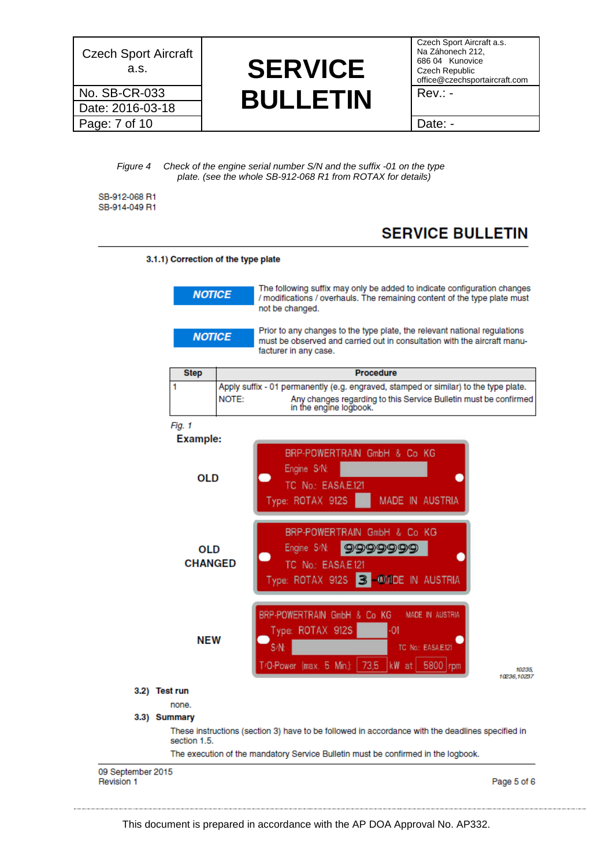Date: 2016-03-18 Page: 7 of 10 at the state of the state of the Date: -

### **A.s. SERVICE No. SB-CR-033 BULLETIN** Rev.: -

Czech Sport Aircraft a.s. Na Záhonech 212, 686 04 Kunovice Czech Republic office@czechsportaircraft.com

*Figure 4 Check of the engine serial number S/N and the suffix -01 on the type plate. (see the whole SB-912-068 R1 from ROTAX for details)*

<span id="page-6-0"></span>SB-912-068 R1 SB-914-049 R1

### **SERVICE BULLETIN**



This document is prepared in accordance with the AP DOA Approval No. AP332.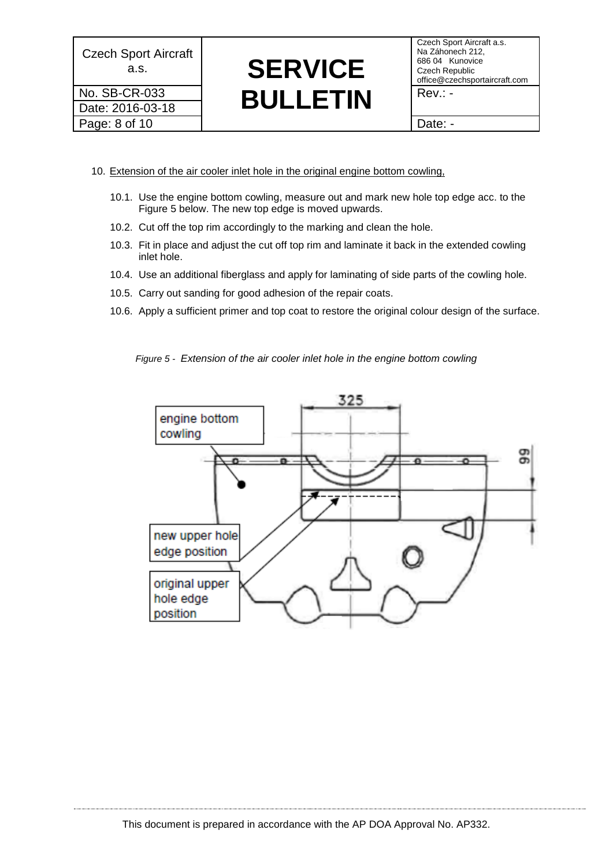Date: 2016-03-18 Page: 8 of 10 (Date: -

## a.s. **SERVICE No. SB-CR-033 BULLETIN** Rev.: -

Czech Sport Aircraft a.s. Na Záhonech 212, 686 04 Kunovice Czech Republic office@czechsportaircraft.com

- 10. Extension of the air cooler inlet hole in the original engine bottom cowling,
	- 10.1. Use the engine bottom cowling, measure out and mark new hole top edge acc. to the [Figure 5](#page-7-0) below. The new top edge is moved upwards.
	- 10.2. Cut off the top rim accordingly to the marking and clean the hole.
	- 10.3. Fit in place and adjust the cut off top rim and laminate it back in the extended cowling inlet hole.
	- 10.4. Use an additional fiberglass and apply for laminating of side parts of the cowling hole.
	- 10.5. Carry out sanding for good adhesion of the repair coats.
	- 10.6. Apply a sufficient primer and top coat to restore the original colour design of the surface.

<span id="page-7-0"></span>*Figure 5 - Extension of the air cooler inlet hole in the engine bottom cowling*

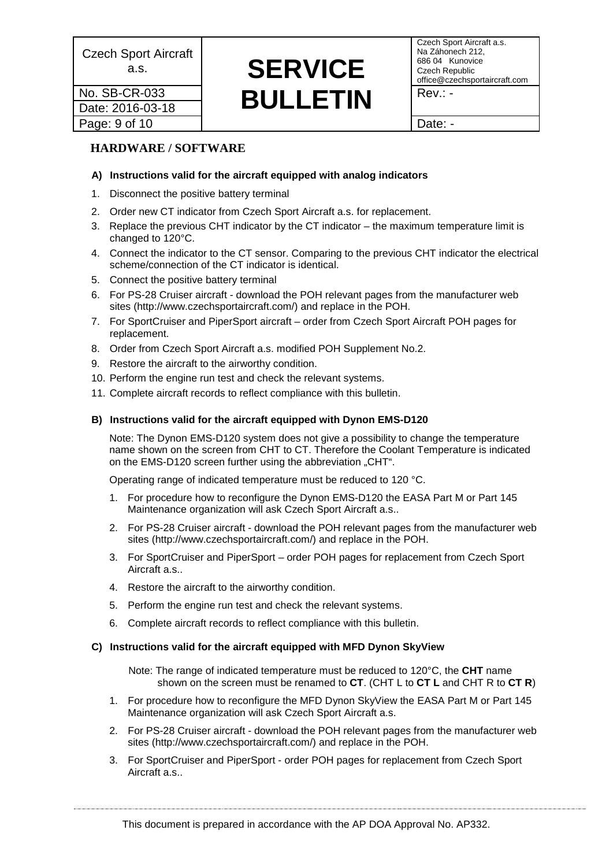### Date: 2016-03-18 Page: 9 of 10 Page: 9 of 10

### **A.s. SERVICE No. SB-CR-033 BULLETIN** Rev.: -

Czech Sport Aircraft a.s. Na Záhonech 212, 686 04 Kunovice Czech Republic office@czechsportaircraft.com

### **HARDWARE / SOFTWARE**

### **A) Instructions valid for the aircraft equipped with analog indicators**

- 1. Disconnect the positive battery terminal
- 2. Order new CT indicator from Czech Sport Aircraft a.s. for replacement.
- 3. Replace the previous CHT indicator by the CT indicator the maximum temperature limit is changed to 120°C.
- 4. Connect the indicator to the CT sensor. Comparing to the previous CHT indicator the electrical scheme/connection of the CT indicator is identical.
- 5. Connect the positive battery terminal
- 6. For PS-28 Cruiser aircraft download the POH relevant pages from the manufacturer web sites [\(http://www.czechsportaircraft.com/\)](http://www.czechsportaircraft.com/) and replace in the POH.
- 7. For SportCruiser and PiperSport aircraft order from Czech Sport Aircraft POH pages for replacement.
- 8. Order from Czech Sport Aircraft a.s. modified POH Supplement No.2.
- 9. Restore the aircraft to the airworthy condition.
- 10. Perform the engine run test and check the relevant systems.
- 11. Complete aircraft records to reflect compliance with this bulletin.

### **B) Instructions valid for the aircraft equipped with Dynon EMS-D120**

Note: The Dynon EMS-D120 system does not give a possibility to change the temperature name shown on the screen from CHT to CT. Therefore the Coolant Temperature is indicated on the EMS-D120 screen further using the abbreviation "CHT".

Operating range of indicated temperature must be reduced to 120 °C.

- 1. For procedure how to reconfigure the Dynon EMS-D120 the EASA Part M or Part 145 Maintenance organization will ask Czech Sport Aircraft a.s..
- 2. For PS-28 Cruiser aircraft download the POH relevant pages from the manufacturer web sites [\(http://www.czechsportaircraft.com/\)](http://www.czechsportaircraft.com/) and replace in the POH.
- 3. For SportCruiser and PiperSport order POH pages for replacement from Czech Sport Aircraft a.s..
- 4. Restore the aircraft to the airworthy condition.
- 5. Perform the engine run test and check the relevant systems.
- 6. Complete aircraft records to reflect compliance with this bulletin.

### **C) Instructions valid for the aircraft equipped with MFD Dynon SkyView**

Note: The range of indicated temperature must be reduced to 120°C, the **CHT** name shown on the screen must be renamed to **CT**. (CHT L to **CT L** and CHT R to **CT R**)

- 1. For procedure how to reconfigure the MFD Dynon SkyView the EASA Part M or Part 145 Maintenance organization will ask Czech Sport Aircraft a.s.
- 2. For PS-28 Cruiser aircraft download the POH relevant pages from the manufacturer web sites [\(http://www.czechsportaircraft.com/\)](http://www.czechsportaircraft.com/) and replace in the POH.
- 3. For SportCruiser and PiperSport order POH pages for replacement from Czech Sport Aircraft a.s..